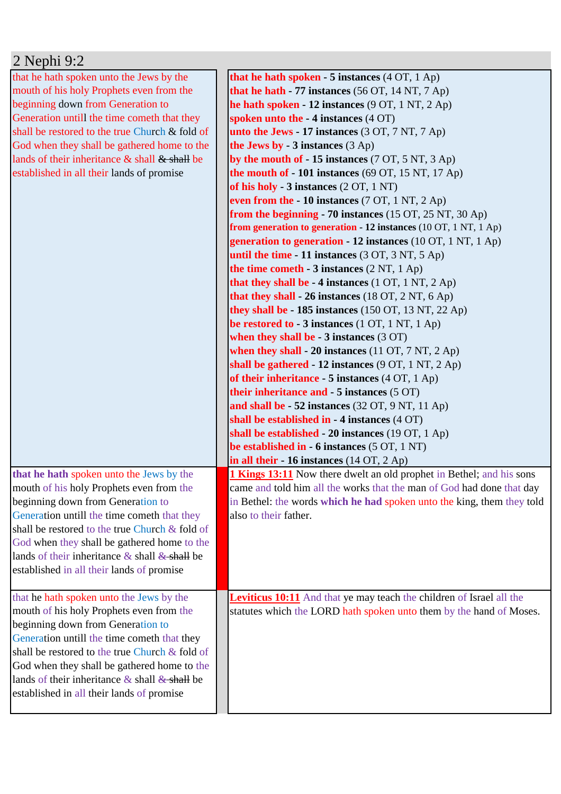| $2$ Nephi 9:2                                       |                                                                             |
|-----------------------------------------------------|-----------------------------------------------------------------------------|
| that he hath spoken unto the Jews by the            | that he hath spoken - 5 instances $(4 OT, 1 Ap)$                            |
| mouth of his holy Prophets even from the            | that he hath $-77$ instances (56 OT, 14 NT, 7 Ap)                           |
| beginning down from Generation to                   | he hath spoken - 12 instances $(9 OT, 1 NT, 2 Ap)$                          |
| Generation untill the time cometh that they         | spoken unto the -4 instances (4 OT)                                         |
| shall be restored to the true Church & fold of      | unto the Jews - 17 instances $(3 OT, 7 NT, 7 Ap)$                           |
| God when they shall be gathered home to the         | the Jews by $-3$ instances $(3$ Ap)                                         |
| lands of their inheritance & shall & shall be       | by the mouth of $-15$ instances (7 OT, 5 NT, 3 Ap)                          |
| established in all their lands of promise           | the mouth of $-101$ instances (69 OT, 15 NT, 17 Ap)                         |
|                                                     | of his holy - 3 instances (2 OT, 1 NT)                                      |
|                                                     | even from the $-10$ instances (7 OT, 1 NT, 2 Ap)                            |
|                                                     | from the beginning $-70$ instances (15 OT, 25 NT, 30 Ap)                    |
|                                                     | from generation to generation - 12 instances (10 OT, 1 NT, 1 Ap)            |
|                                                     | generation to generation - 12 instances (10 OT, 1 NT, 1 Ap)                 |
|                                                     | until the time - 11 instances $(3 OT, 3 NT, 5 Ap)$                          |
|                                                     | the time cometh $-3$ instances $(2 \text{ NT}, 1 \text{ Ap})$               |
|                                                     | that they shall be $-4$ instances (1 OT, 1 NT, 2 Ap)                        |
|                                                     | that they shall - 26 instances (18 OT, 2 NT, 6 Ap)                          |
|                                                     | they shall be $-185$ instances (150 OT, 13 NT, 22 Ap)                       |
|                                                     | be restored to - $3$ instances (1 OT, 1 NT, 1 Ap)                           |
|                                                     | when they shall be $-3$ instances $(3 \text{ OT})$                          |
|                                                     | when they shall - 20 instances $(11 OT, 7 NT, 2 Ap)$                        |
|                                                     | shall be gathered - 12 instances (9 OT, 1 NT, 2 Ap)                         |
|                                                     | of their inheritance - 5 instances $(4 OT, 1 Ap)$                           |
|                                                     | their inheritance and $-5$ instances $(5 \text{ OT})$                       |
|                                                     | and shall be - 52 instances (32 OT, 9 NT, 11 Ap)                            |
|                                                     | shall be established in - 4 instances (4 OT)                                |
|                                                     | shall be established - 20 instances (19 OT, 1 Ap)                           |
|                                                     | be established in $-6$ instances $(5 OT, 1 NT)$                             |
|                                                     | in all their $-16$ instances (14 OT, 2 Ap)                                  |
| that he hath spoken unto the Jews by the            | <b>1 Kings 13:11</b> Now there dwelt an old prophet in Bethel; and his sons |
| mouth of his holy Prophets even from the            | came and told him all the works that the man of God had done that day       |
| beginning down from Generation to                   | in Bethel: the words which he had spoken unto the king, them they told      |
| Generation untill the time cometh that they         | also to their father.                                                       |
| shall be restored to the true Church & fold of      |                                                                             |
| God when they shall be gathered home to the         |                                                                             |
| lands of their inheritance $\&$ shall $\&$ shall be |                                                                             |
| established in all their lands of promise           |                                                                             |
|                                                     |                                                                             |
| that he hath spoken unto the Jews by the            | <b>Leviticus 10:11</b> And that ye may teach the children of Israel all the |
| mouth of his holy Prophets even from the            | statutes which the LORD hath spoken unto them by the hand of Moses.         |
| beginning down from Generation to                   |                                                                             |
| Generation untill the time cometh that they         |                                                                             |
| shall be restored to the true Church & fold of      |                                                                             |
| God when they shall be gathered home to the         |                                                                             |
| lands of their inheritance $\&$ shall $\&$ shall be |                                                                             |
| established in all their lands of promise           |                                                                             |
|                                                     |                                                                             |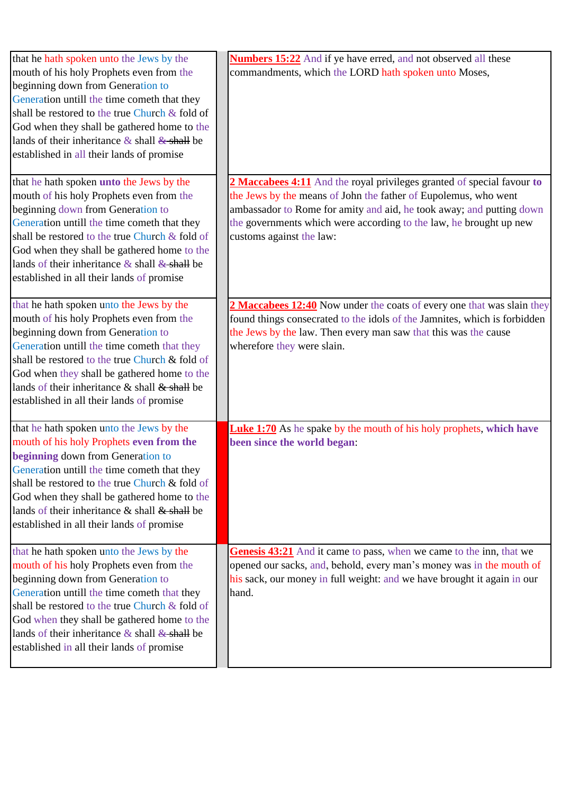| that he hath spoken unto the Jews by the<br>mouth of his holy Prophets even from the<br>beginning down from Generation to<br>Generation untill the time cometh that they<br>shall be restored to the true Church & fold of<br>God when they shall be gathered home to the<br>lands of their inheritance $\&$ shall $\&$ shall be<br>established in all their lands of promise | Numbers 15:22 And if ye have erred, and not observed all these<br>commandments, which the LORD hath spoken unto Moses,                                                                                                                                                                                              |
|-------------------------------------------------------------------------------------------------------------------------------------------------------------------------------------------------------------------------------------------------------------------------------------------------------------------------------------------------------------------------------|---------------------------------------------------------------------------------------------------------------------------------------------------------------------------------------------------------------------------------------------------------------------------------------------------------------------|
| that he hath spoken unto the Jews by the<br>mouth of his holy Prophets even from the<br>beginning down from Generation to<br>Generation untill the time cometh that they<br>shall be restored to the true Church & fold of<br>God when they shall be gathered home to the<br>lands of their inheritance $\&$ shall $\&$ shall be<br>established in all their lands of promise | 2 Maccabees 4:11 And the royal privileges granted of special favour to<br>the Jews by the means of John the father of Eupolemus, who went<br>ambassador to Rome for amity and aid, he took away; and putting down<br>the governments which were according to the law, he brought up new<br>customs against the law: |
| that he hath spoken unto the Jews by the<br>mouth of his holy Prophets even from the<br>beginning down from Generation to<br>Generation untill the time cometh that they<br>shall be restored to the true Church & fold of<br>God when they shall be gathered home to the<br>lands of their inheritance $\&$ shall $\&$ shall be<br>established in all their lands of promise | 2 Maccabees 12:40 Now under the coats of every one that was slain they<br>found things consecrated to the idols of the Jamnites, which is forbidden<br>the Jews by the law. Then every man saw that this was the cause<br>wherefore they were slain.                                                                |
| that he hath spoken unto the Jews by the<br>mouth of his holy Prophets even from the<br>beginning down from Generation to<br>Generation untill the time cometh that they<br>shall be restored to the true Church & fold of<br>God when they shall be gathered home to the<br>lands of their inheritance & shall & shall be<br>established in all their lands of promise       | <b>Luke 1:70</b> As he spake by the mouth of his holy prophets, which have<br>been since the world began:                                                                                                                                                                                                           |
| that he hath spoken unto the Jews by the<br>mouth of his holy Prophets even from the<br>beginning down from Generation to<br>Generation untill the time cometh that they<br>shall be restored to the true Church & fold of<br>God when they shall be gathered home to the<br>lands of their inheritance $\&$ shall $\&$ shall be<br>established in all their lands of promise | Genesis 43:21 And it came to pass, when we came to the inn, that we<br>opened our sacks, and, behold, every man's money was in the mouth of<br>his sack, our money in full weight: and we have brought it again in our<br>hand.                                                                                     |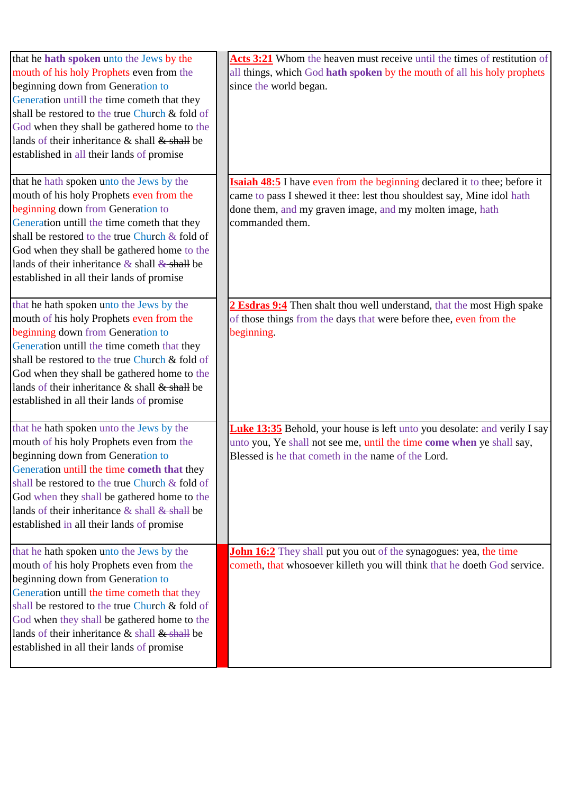| that he hath spoken unto the Jews by the<br>mouth of his holy Prophets even from the<br>beginning down from Generation to<br>Generation untill the time cometh that they<br>shall be restored to the true Church & fold of<br>God when they shall be gathered home to the<br>lands of their inheritance $\&$ shall $\&$ shall be<br>established in all their lands of promise | Acts 3:21 Whom the heaven must receive until the times of restitution of<br>all things, which God hath spoken by the mouth of all his holy prophets<br>since the world began.                                                              |
|-------------------------------------------------------------------------------------------------------------------------------------------------------------------------------------------------------------------------------------------------------------------------------------------------------------------------------------------------------------------------------|--------------------------------------------------------------------------------------------------------------------------------------------------------------------------------------------------------------------------------------------|
| that he hath spoken unto the Jews by the<br>mouth of his holy Prophets even from the<br>beginning down from Generation to<br>Generation untill the time cometh that they<br>shall be restored to the true Church & fold of<br>God when they shall be gathered home to the<br>lands of their inheritance $\&$ shall $\&$ shall be<br>established in all their lands of promise | <b>Isaiah 48:5</b> I have even from the beginning declared it to thee; before it<br>came to pass I shewed it thee: lest thou shouldest say, Mine idol hath<br>done them, and my graven image, and my molten image, hath<br>commanded them. |
| that he hath spoken unto the Jews by the<br>mouth of his holy Prophets even from the<br>beginning down from Generation to<br>Generation untill the time cometh that they<br>shall be restored to the true Church & fold of<br>God when they shall be gathered home to the<br>lands of their inheritance $\&$ shall $\&$ shall be<br>established in all their lands of promise | 2 Esdras 9:4 Then shalt thou well understand, that the most High spake<br>of those things from the days that were before thee, even from the<br>beginning.                                                                                 |
| that he hath spoken unto the Jews by the<br>mouth of his holy Prophets even from the<br>beginning down from Generation to<br>Generation untill the time cometh that they<br>shall be restored to the true Church & fold of<br>God when they shall be gathered home to the<br>lands of their inheritance $\&$ shall $\&$ shall be<br>established in all their lands of promise | <b>Luke 13:35</b> Behold, your house is left unto you desolate: and verily I say<br>unto you, Ye shall not see me, until the time come when ye shall say,<br>Blessed is he that cometh in the name of the Lord.                            |
| that he hath spoken unto the Jews by the<br>mouth of his holy Prophets even from the<br>beginning down from Generation to<br>Generation untill the time cometh that they<br>shall be restored to the true Church & fold of<br>God when they shall be gathered home to the<br>lands of their inheritance $\&$ shall $\&$ shall be<br>established in all their lands of promise | John 16:2 They shall put you out of the synagogues: yea, the time<br>cometh, that whosoever killeth you will think that he doeth God service.                                                                                              |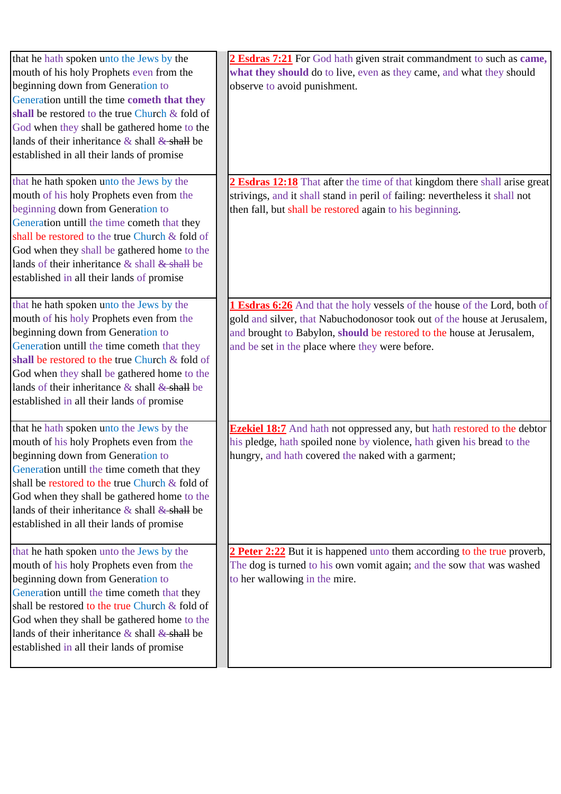| that he hath spoken unto the Jews by the            | 2 Esdras 7:21 For God hath given strait commandment to such as came,            |
|-----------------------------------------------------|---------------------------------------------------------------------------------|
| mouth of his holy Prophets even from the            | what they should do to live, even as they came, and what they should            |
| beginning down from Generation to                   | observe to avoid punishment.                                                    |
| Generation untill the time cometh that they         |                                                                                 |
| shall be restored to the true Church & fold of      |                                                                                 |
| God when they shall be gathered home to the         |                                                                                 |
| lands of their inheritance $\&$ shall $\&$ shall be |                                                                                 |
| established in all their lands of promise           |                                                                                 |
|                                                     |                                                                                 |
| that he hath spoken unto the Jews by the            | 2 Esdras 12:18 That after the time of that kingdom there shall arise great      |
| mouth of his holy Prophets even from the            | strivings, and it shall stand in peril of failing: nevertheless it shall not    |
| beginning down from Generation to                   | then fall, but shall be restored again to his beginning.                        |
| Generation untill the time cometh that they         |                                                                                 |
| shall be restored to the true Church & fold of      |                                                                                 |
| God when they shall be gathered home to the         |                                                                                 |
| lands of their inheritance & shall & shall be       |                                                                                 |
| established in all their lands of promise           |                                                                                 |
| that he hath spoken unto the Jews by the            | 1 Esdras 6:26 And that the holy vessels of the house of the Lord, both of       |
| mouth of his holy Prophets even from the            | gold and silver, that Nabuchodonosor took out of the house at Jerusalem,        |
| beginning down from Generation to                   | and brought to Babylon, should be restored to the house at Jerusalem,           |
| Generation untill the time cometh that they         | and be set in the place where they were before.                                 |
| shall be restored to the true Church & fold of      |                                                                                 |
| God when they shall be gathered home to the         |                                                                                 |
| lands of their inheritance $\&$ shall $\&$ shall be |                                                                                 |
| established in all their lands of promise           |                                                                                 |
|                                                     |                                                                                 |
| that he hath spoken unto the Jews by the            | <b>Ezekiel 18:7</b> And hath not oppressed any, but hath restored to the debtor |
| mouth of his holy Prophets even from the            | his pledge, hath spoiled none by violence, hath given his bread to the          |
| beginning down from Generation to                   | hungry, and hath covered the naked with a garment;                              |
| Generation untill the time cometh that they         |                                                                                 |
| shall be restored to the true Church & fold of      |                                                                                 |
| God when they shall be gathered home to the         |                                                                                 |
| lands of their inheritance $\&$ shall $\&$ shall be |                                                                                 |
| established in all their lands of promise           |                                                                                 |
|                                                     |                                                                                 |
| that he hath spoken unto the Jews by the            | 2 Peter 2:22 But it is happened unto them according to the true proverb,        |
| mouth of his holy Prophets even from the            | The dog is turned to his own vomit again; and the sow that was washed           |
| beginning down from Generation to                   | to her wallowing in the mire.                                                   |
| Generation untill the time cometh that they         |                                                                                 |
| shall be restored to the true Church & fold of      |                                                                                 |
| God when they shall be gathered home to the         |                                                                                 |
| lands of their inheritance $\&$ shall $\&$ shall be |                                                                                 |
| established in all their lands of promise           |                                                                                 |
|                                                     |                                                                                 |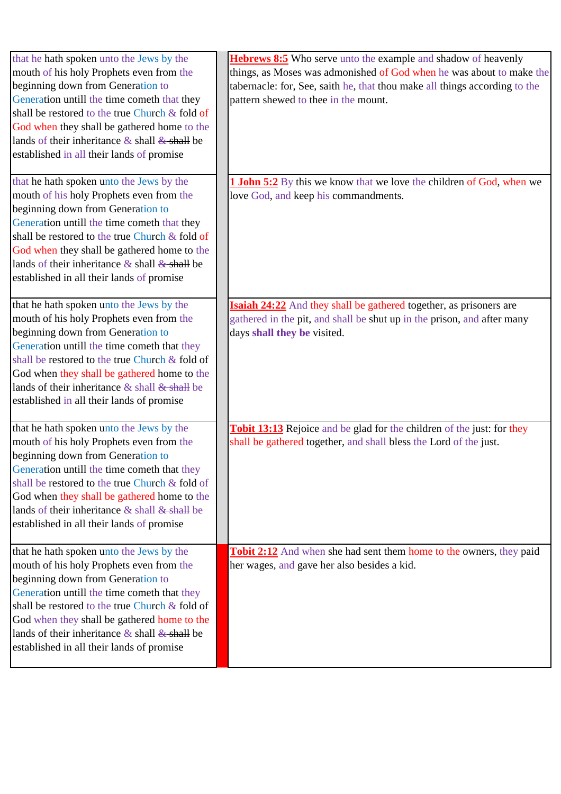| that he hath spoken unto the Jews by the            | Hebrews 8:5 Who serve unto the example and shadow of heavenly                 |
|-----------------------------------------------------|-------------------------------------------------------------------------------|
| mouth of his holy Prophets even from the            | things, as Moses was admonished of God when he was about to make the          |
| beginning down from Generation to                   | tabernacle: for, See, saith he, that thou make all things according to the    |
| Generation untill the time cometh that they         | pattern shewed to thee in the mount.                                          |
| shall be restored to the true Church & fold of      |                                                                               |
| God when they shall be gathered home to the         |                                                                               |
| lands of their inheritance $\&$ shall $\&$ shall be |                                                                               |
| established in all their lands of promise           |                                                                               |
|                                                     |                                                                               |
| that he hath spoken unto the Jews by the            | <b>I John 5:2</b> By this we know that we love the children of God, when we   |
| mouth of his holy Prophets even from the            | love God, and keep his commandments.                                          |
| beginning down from Generation to                   |                                                                               |
| Generation untill the time cometh that they         |                                                                               |
| shall be restored to the true Church & fold of      |                                                                               |
| God when they shall be gathered home to the         |                                                                               |
| lands of their inheritance $\&$ shall $\&$ shall be |                                                                               |
| established in all their lands of promise           |                                                                               |
|                                                     |                                                                               |
| that he hath spoken unto the Jews by the            | Isaiah 24:22 And they shall be gathered together, as prisoners are            |
| mouth of his holy Prophets even from the            | gathered in the pit, and shall be shut up in the prison, and after many       |
| beginning down from Generation to                   | days shall they be visited.                                                   |
| Generation untill the time cometh that they         |                                                                               |
| shall be restored to the true Church & fold of      |                                                                               |
| God when they shall be gathered home to the         |                                                                               |
| lands of their inheritance $\&$ shall $\&$ shall be |                                                                               |
| established in all their lands of promise           |                                                                               |
|                                                     |                                                                               |
| that he hath spoken unto the Jews by the            | <b>Tobit 13:13</b> Rejoice and be glad for the children of the just: for they |
| mouth of his holy Prophets even from the            | shall be gathered together, and shall bless the Lord of the just.             |
| beginning down from Generation to                   |                                                                               |
| Generation untill the time cometh that they         |                                                                               |
| shall be restored to the true Church & fold of      |                                                                               |
| God when they shall be gathered home to the         |                                                                               |
| lands of their inheritance $\&$ shall $&$ shall be  |                                                                               |
| established in all their lands of promise           |                                                                               |
|                                                     |                                                                               |
| that he hath spoken unto the Jews by the            | <b>Tobit 2:12</b> And when she had sent them home to the owners, they paid    |
| mouth of his holy Prophets even from the            | her wages, and gave her also besides a kid.                                   |
| beginning down from Generation to                   |                                                                               |
| Generation untill the time cometh that they         |                                                                               |
| shall be restored to the true Church & fold of      |                                                                               |
| God when they shall be gathered home to the         |                                                                               |
| lands of their inheritance $\&$ shall $\&$ shall be |                                                                               |
| established in all their lands of promise           |                                                                               |
|                                                     |                                                                               |